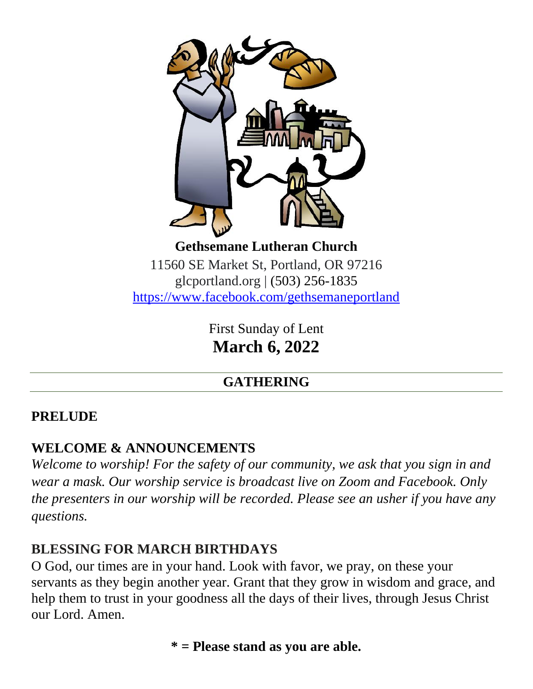

11560 SE Market St, Portland, OR 97216 glcportland.org | (503) 256-1835 <https://www.facebook.com/gethsemaneportland>

> First Sunday of Lent **March 6, 2022**

# **GATHERING**

# **PRELUDE**

# **WELCOME & ANNOUNCEMENTS**

*Welcome to worship! For the safety of our community, we ask that you sign in and wear a mask. Our worship service is broadcast live on Zoom and Facebook. Only the presenters in our worship will be recorded. Please see an usher if you have any questions.*

# **BLESSING FOR MARCH BIRTHDAYS**

O God, our times are in your hand. Look with favor, we pray, on these your servants as they begin another year. Grant that they grow in wisdom and grace, and help them to trust in your goodness all the days of their lives, through Jesus Christ our Lord. Amen.

**\* = Please stand as you are able.**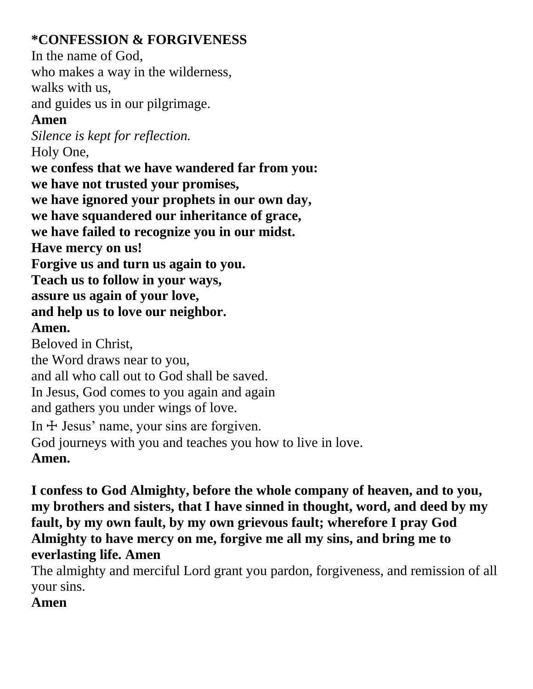# **\*CONFESSION & FORGIVENESS**

In the name of God, who makes a way in the wilderness, walks with us,

and guides us in our pilgrimage.

# **Amen**

*Silence is kept for reflection.* Holy One, **we confess that we have wandered far from you: we have not trusted your promises, we have ignored your prophets in our own day, we have squandered our inheritance of grace, we have failed to recognize you in our midst. Have mercy on us! Forgive us and turn us again to you. Teach us to follow in your ways, assure us again of your love, and help us to love our neighbor. Amen.** Beloved in Christ, the Word draws near to you, and all who call out to God shall be saved. In Jesus, God comes to you again and again and gathers you under wings of love. In  $\pm$  Jesus' name, your sins are forgiven. God journeys with you and teaches you how to live in love. **Amen.**

**I confess to God Almighty, before the whole company of heaven, and to you, my brothers and sisters, that I have sinned in thought, word, and deed by my fault, by my own fault, by my own grievous fault; wherefore I pray God Almighty to have mercy on me, forgive me all my sins, and bring me to everlasting life. Amen**

The almighty and merciful Lord grant you pardon, forgiveness, and remission of all your sins.

# **Amen**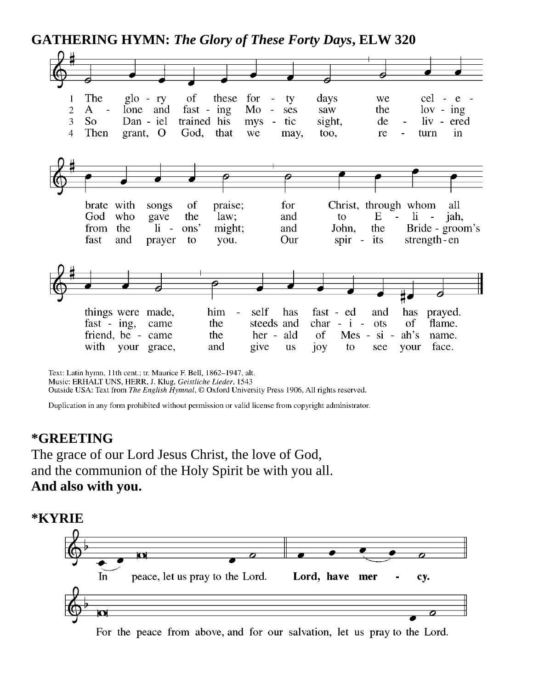**GATHERING HYMN:** *The Glory of These Forty Days***, ELW 320**



Text: Latin hymn, 11th cent.; tr. Maurice F. Bell, 1862-1947, alt. Music: ERHALT UNS, HERR, J. Klug, Geistliche Lieder, 1543 Outside USA: Text from The English Hymnal, © Oxford University Press 1906, All rights reserved.

Duplication in any form prohibited without permission or valid license from copyright administrator.

#### **\*GREETING**

The grace of our Lord Jesus Christ, the love of God, and the communion of the Holy Spirit be with you all. **And also with you.**



For the peace from above, and for our salvation, let us pray to the Lord.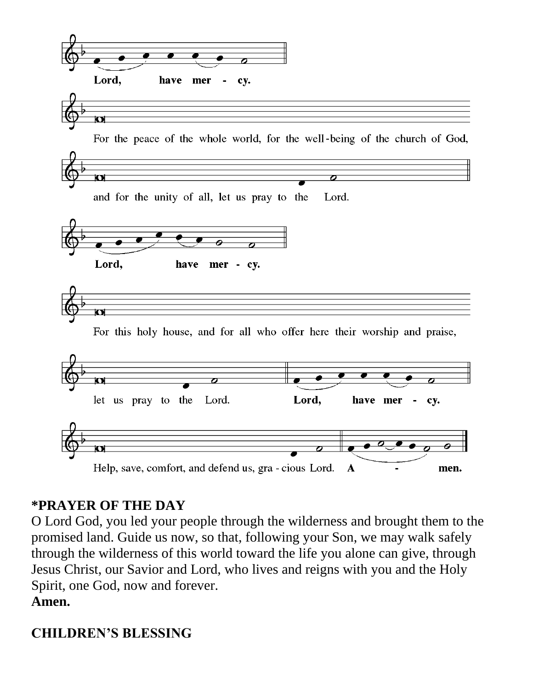

# **\*PRAYER OF THE DAY**

O Lord God, you led your people through the wilderness and brought them to the promised land. Guide us now, so that, following your Son, we may walk safely through the wilderness of this world toward the life you alone can give, through Jesus Christ, our Savior and Lord, who lives and reigns with you and the Holy Spirit, one God, now and forever. **Amen.**

# **CHILDREN'S BLESSING**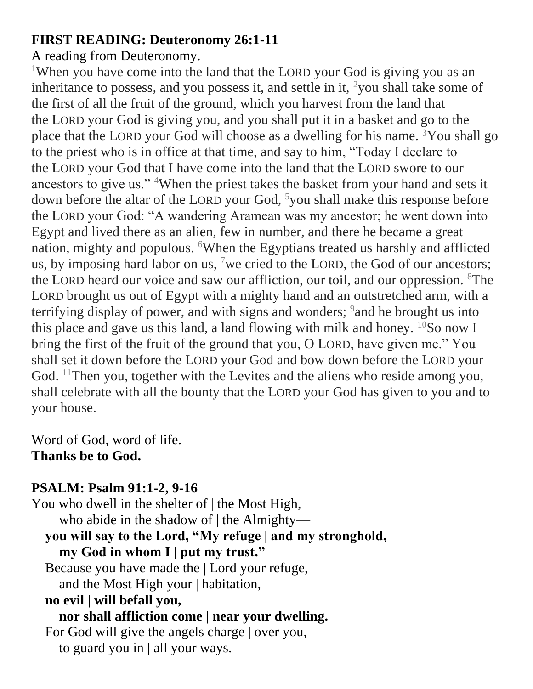# **FIRST READING: Deuteronomy 26:1-11**

#### A reading from Deuteronomy.

<sup>1</sup>When you have come into the land that the LORD your God is giving you as an inheritance to possess, and you possess it, and settle in it,  $\frac{2}{1}$  you shall take some of the first of all the fruit of the ground, which you harvest from the land that the LORD your God is giving you, and you shall put it in a basket and go to the place that the LORD your God will choose as a dwelling for his name.  $3$ You shall go to the priest who is in office at that time, and say to him, "Today I declare to the LORD your God that I have come into the land that the LORD swore to our ancestors to give us." <sup>4</sup>When the priest takes the basket from your hand and sets it down before the altar of the LORD your God, <sup>5</sup>you shall make this response before the LORD your God: "A wandering Aramean was my ancestor; he went down into Egypt and lived there as an alien, few in number, and there he became a great nation, mighty and populous. <sup>6</sup>When the Egyptians treated us harshly and afflicted us, by imposing hard labor on us,  $\frac{7}{1}$  we cried to the LORD, the God of our ancestors; the LORD heard our voice and saw our affliction, our toil, and our oppression. <sup>8</sup>The LORD brought us out of Egypt with a mighty hand and an outstretched arm, with a terrifying display of power, and with signs and wonders;  $9$  and he brought us into this place and gave us this land, a land flowing with milk and honey.  $^{10}$ So now I bring the first of the fruit of the ground that you, O LORD, have given me." You shall set it down before the LORD your God and bow down before the LORD your God.  $11$ Then you, together with the Levites and the aliens who reside among you, shall celebrate with all the bounty that the LORD your God has given to you and to your house.

Word of God, word of life. **Thanks be to God.**

# **PSALM: Psalm 91:1-2, 9-16**

You who dwell in the shelter of | the Most High, who abide in the shadow of | the Almighty **you will say to the Lord, "My refuge | and my stronghold, my God in whom I | put my trust."** Because you have made the | Lord your refuge, and the Most High your | habitation, **no evil | will befall you, nor shall affliction come | near your dwelling.** For God will give the angels charge | over you, to guard you in | all your ways.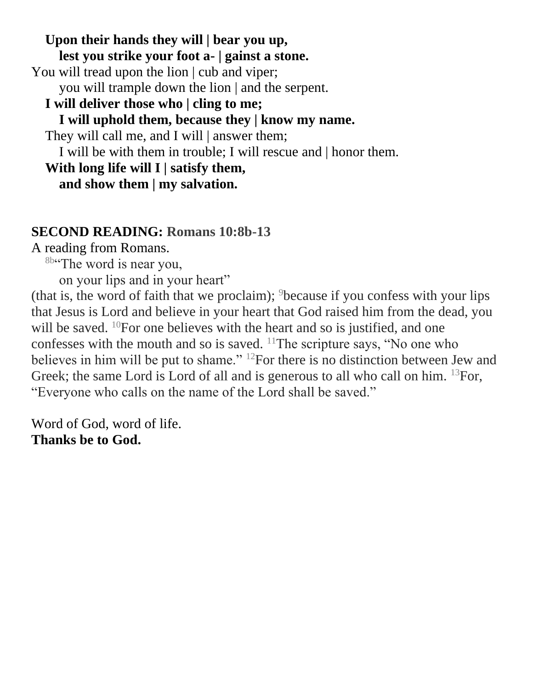**Upon their hands they will | bear you up, lest you strike your foot a- | gainst a stone.** You will tread upon the lion | cub and viper; you will trample down the lion | and the serpent. **I will deliver those who | cling to me; I will uphold them, because they | know my name.** They will call me, and I will answer them; I will be with them in trouble; I will rescue and | honor them. **With long life will I | satisfy them, and show them | my salvation.**

#### **SECOND READING: Romans 10:8b-13**

A reading from Romans.

<sup>8b"</sup>The word is near you,

on your lips and in your heart"

(that is, the word of faith that we proclaim);  $9$  because if you confess with your lips that Jesus is Lord and believe in your heart that God raised him from the dead, you will be saved. <sup>10</sup>For one believes with the heart and so is justified, and one confesses with the mouth and so is saved.  $11$ The scripture says, "No one who believes in him will be put to shame." <sup>12</sup>For there is no distinction between Jew and Greek; the same Lord is Lord of all and is generous to all who call on him. <sup>13</sup>For, "Everyone who calls on the name of the Lord shall be saved."

Word of God, word of life. **Thanks be to God.**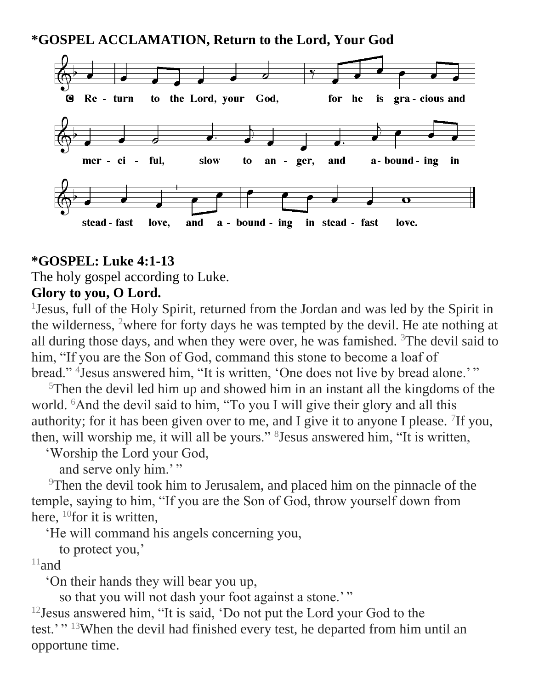**\*GOSPEL ACCLAMATION, Return to the Lord, Your God**



#### **\*GOSPEL: Luke 4:1-13**

The holy gospel according to Luke.

### **Glory to you, O Lord.**

1 Jesus, full of the Holy Spirit, returned from the Jordan and was led by the Spirit in the wilderness, <sup>2</sup>where for forty days he was tempted by the devil. He ate nothing at all during those days, and when they were over, he was famished.  $3$ The devil said to him, "If you are the Son of God, command this stone to become a loaf of bread." <sup>4</sup> Jesus answered him, "It is written, 'One does not live by bread alone.'"

 $5$ Then the devil led him up and showed him in an instant all the kingdoms of the world. <sup>6</sup>And the devil said to him, "To you I will give their glory and all this authority; for it has been given over to me, and I give it to anyone I please.  $\frac{7}{1}$ If you, then, will worship me, it will all be yours." <sup>8</sup> Jesus answered him, "It is written,

'Worship the Lord your God,

and serve only him.'"

<sup>9</sup>Then the devil took him to Jerusalem, and placed him on the pinnacle of the temple, saying to him, "If you are the Son of God, throw yourself down from here,  $^{10}$ for it is written,

'He will command his angels concerning you,

to protect you,'

 $11$ and

'On their hands they will bear you up,

so that you will not dash your foot against a stone.'"

<sup>12</sup> Jesus answered him, "It is said, 'Do not put the Lord your God to the test.'" <sup>13</sup>When the devil had finished every test, he departed from him until an opportune time.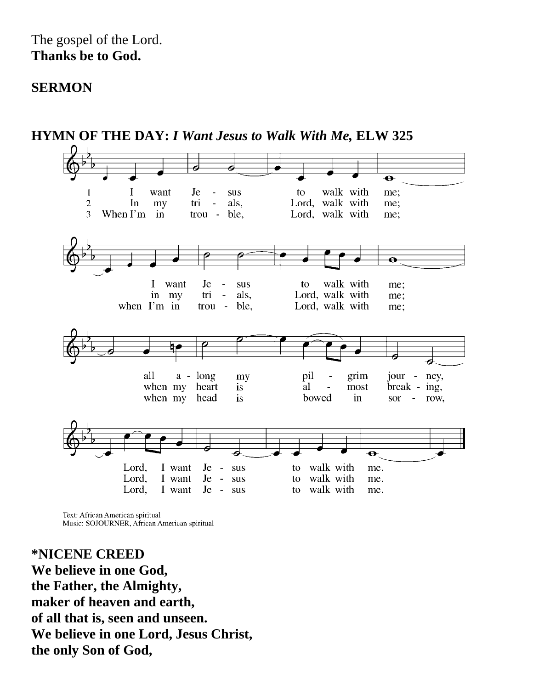#### The gospel of the Lord. **Thanks be to God.**

#### **SERMON**



Text: African American spiritual Music: SOJOURNER, African American spiritual

**\*NICENE CREED We believe in one God, the Father, the Almighty, maker of heaven and earth, of all that is, seen and unseen. We believe in one Lord, Jesus Christ, the only Son of God,**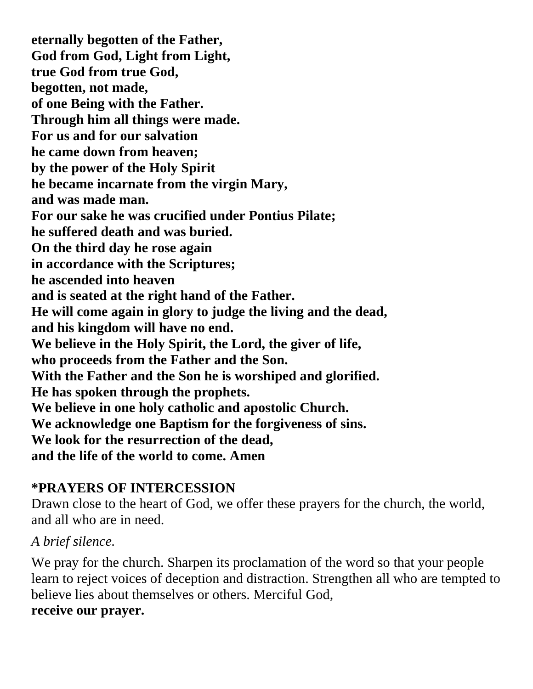**eternally begotten of the Father, God from God, Light from Light, true God from true God, begotten, not made, of one Being with the Father. Through him all things were made. For us and for our salvation he came down from heaven; by the power of the Holy Spirit he became incarnate from the virgin Mary, and was made man. For our sake he was crucified under Pontius Pilate; he suffered death and was buried. On the third day he rose again in accordance with the Scriptures; he ascended into heaven and is seated at the right hand of the Father. He will come again in glory to judge the living and the dead, and his kingdom will have no end. We believe in the Holy Spirit, the Lord, the giver of life, who proceeds from the Father and the Son. With the Father and the Son he is worshiped and glorified. He has spoken through the prophets. We believe in one holy catholic and apostolic Church. We acknowledge one Baptism for the forgiveness of sins. We look for the resurrection of the dead, and the life of the world to come. Amen**

# **\*PRAYERS OF INTERCESSION**

Drawn close to the heart of God, we offer these prayers for the church, the world, and all who are in need.

#### *A brief silence.*

We pray for the church. Sharpen its proclamation of the word so that your people learn to reject voices of deception and distraction. Strengthen all who are tempted to believe lies about themselves or others. Merciful God, **receive our prayer.**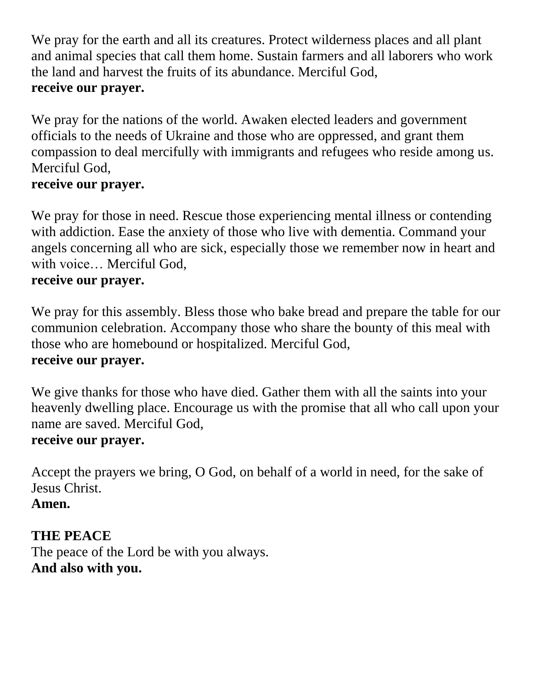We pray for the earth and all its creatures. Protect wilderness places and all plant and animal species that call them home. Sustain farmers and all laborers who work the land and harvest the fruits of its abundance. Merciful God, **receive our prayer.**

We pray for the nations of the world. Awaken elected leaders and government officials to the needs of Ukraine and those who are oppressed, and grant them compassion to deal mercifully with immigrants and refugees who reside among us. Merciful God,

### **receive our prayer.**

We pray for those in need. Rescue those experiencing mental illness or contending with addiction. Ease the anxiety of those who live with dementia. Command your angels concerning all who are sick, especially those we remember now in heart and with voice… Merciful God,

#### **receive our prayer.**

We pray for this assembly. Bless those who bake bread and prepare the table for our communion celebration. Accompany those who share the bounty of this meal with those who are homebound or hospitalized. Merciful God, **receive our prayer.**

We give thanks for those who have died. Gather them with all the saints into your heavenly dwelling place. Encourage us with the promise that all who call upon your name are saved. Merciful God,

#### **receive our prayer.**

Accept the prayers we bring, O God, on behalf of a world in need, for the sake of Jesus Christ.

# **Amen.**

# **THE PEACE**

The peace of the Lord be with you always. **And also with you.**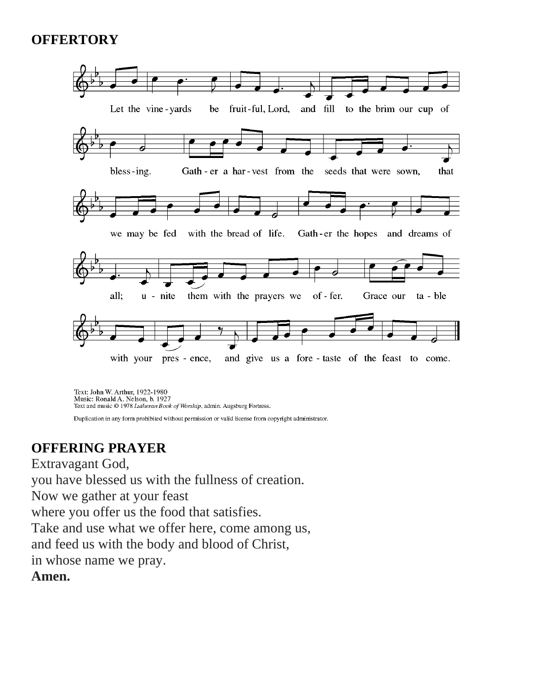# **OFFERTORY**



Text: John W. Arthur, 1922-1980 Music: Ronald A. Nelson, b. 1927<br>Text and music © 1978 Lutheran Book of Worship, admin. Augsburg Fortress.

Duplication in any form prohibited without permission or valid license from copyright administrator.

# **OFFERING PRAYER**

Extravagant God,

you have blessed us with the fullness of creation.

Now we gather at your feast

where you offer us the food that satisfies.

Take and use what we offer here, come among us,

and feed us with the body and blood of Christ,

in whose name we pray.

**Amen.**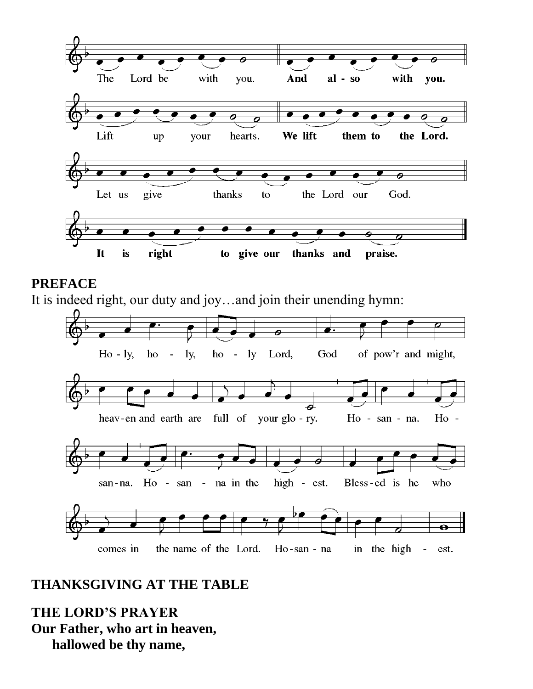

#### **PREFACE**

It is indeed right, our duty and joy…and join their unending hymn:



# **THANKSGIVING AT THE TABLE**

**THE LORD'S PRAYER Our Father, who art in heaven, hallowed be thy name,**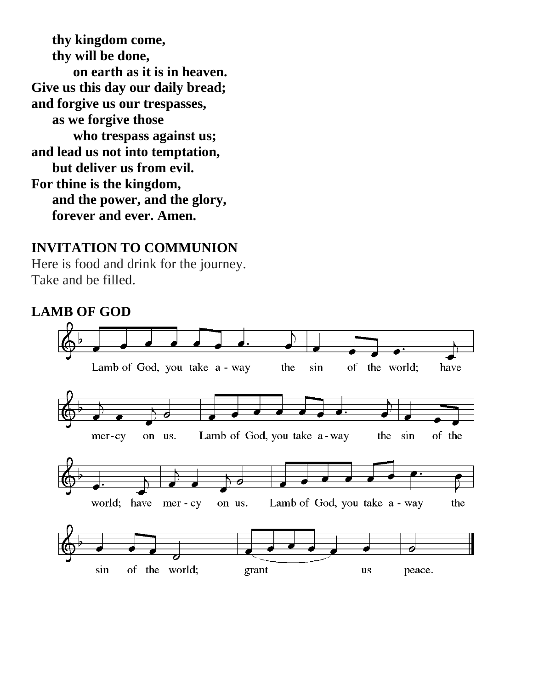**thy kingdom come, thy will be done, on earth as it is in heaven. Give us this day our daily bread; and forgive us our trespasses, as we forgive those who trespass against us; and lead us not into temptation, but deliver us from evil. For thine is the kingdom, and the power, and the glory, forever and ever. Amen.**

#### **INVITATION TO COMMUNION**

Here is food and drink for the journey. Take and be filled.

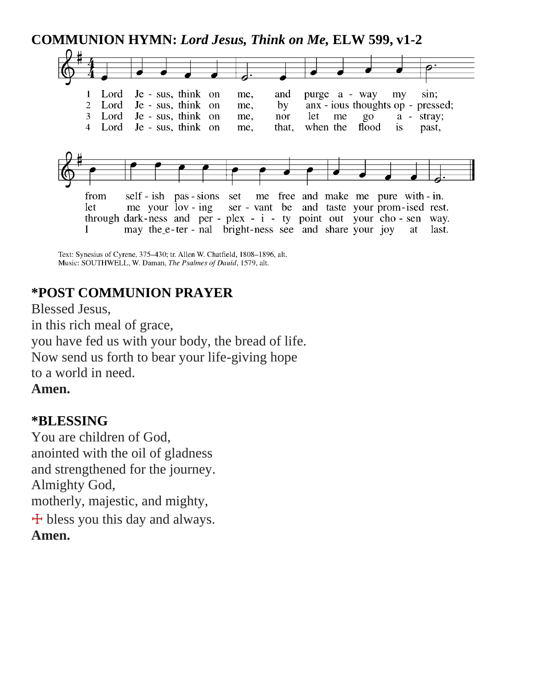**COMMUNION HYMN:** *Lord Jesus, Think on Me,* **ELW 599, v1-2**



Text: Synesius of Cyrene, 375-430; tr. Allen W. Chatfield, 1808-1896, alt. Music: SOUTHWELL, W. Daman, The Psalmes of Dauid, 1579, alt.

# **\*POST COMMUNION PRAYER**

Blessed Jesus, in this rich meal of grace, you have fed us with your body, the bread of life. Now send us forth to bear your life-giving hope to a world in need.

**Amen.**

#### **\*BLESSING**

You are children of God, anointed with the oil of gladness and strengthened for the journey. Almighty God, motherly, majestic, and mighty,  $\pm$  bless you this day and always. **Amen.**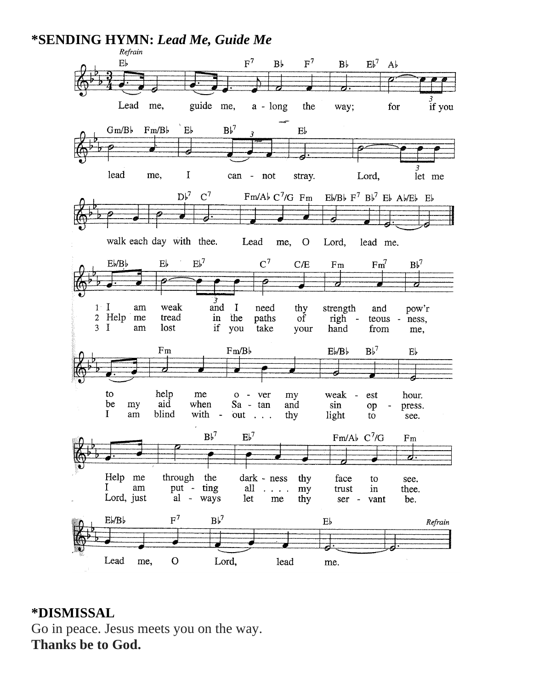

#### **\*DISMISSAL**

Go in peace. Jesus meets you on the way. **Thanks be to God.**